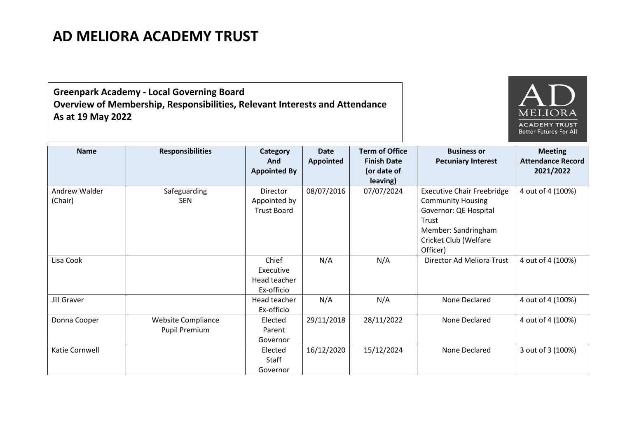## **AD MELIORA ACADEMY TRUST**

**Greenpark Academy - Local Governing Board Overview of Membership, Responsibilities, Relevant Interests and Attendance As at 19 May 2022**



| <b>Name</b>              | <b>Responsibilities</b>                           | Category<br>And<br><b>Appointed By</b>                | <b>Date</b><br>Appointed | <b>Term of Office</b><br><b>Finish Date</b><br>(or date of<br>leaving) | <b>Business or</b><br><b>Pecuniary Interest</b>                                                                                                             | <b>Meeting</b><br><b>Attendance Record</b><br>2021/2022 |
|--------------------------|---------------------------------------------------|-------------------------------------------------------|--------------------------|------------------------------------------------------------------------|-------------------------------------------------------------------------------------------------------------------------------------------------------------|---------------------------------------------------------|
| Andrew Walder<br>(Chair) | Safeguarding<br><b>SEN</b>                        | <b>Director</b><br>Appointed by<br><b>Trust Board</b> | 08/07/2016               | 07/07/2024                                                             | <b>Executive Chair Freebridge</b><br><b>Community Housing</b><br>Governor: QE Hospital<br>Trust<br>Member: Sandringham<br>Cricket Club (Welfare<br>Officer) | 4 out of 4 (100%)                                       |
| Lisa Cook                |                                                   | Chief<br>Executive<br>Head teacher<br>Ex-officio      | N/A                      | N/A                                                                    | Director Ad Meliora Trust                                                                                                                                   | 4 out of 4 (100%)                                       |
| Jill Graver              |                                                   | Head teacher<br>Ex-officio                            | N/A                      | N/A                                                                    | None Declared                                                                                                                                               | 4 out of 4 (100%)                                       |
| Donna Cooper             | <b>Website Compliance</b><br><b>Pupil Premium</b> | Elected<br>Parent<br>Governor                         | 29/11/2018               | 28/11/2022                                                             | None Declared                                                                                                                                               | 4 out of 4 (100%)                                       |
| Katie Cornwell           |                                                   | Elected<br>Staff<br>Governor                          | 16/12/2020               | 15/12/2024                                                             | None Declared                                                                                                                                               | 3 out of 3 (100%)                                       |